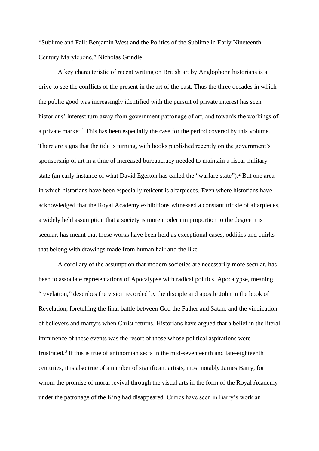"Sublime and Fall: Benjamin West and the Politics of the Sublime in Early Nineteenth-Century Marylebone," Nicholas Grindle

A key characteristic of recent writing on British art by Anglophone historians is a drive to see the conflicts of the present in the art of the past. Thus the three decades in which the public good was increasingly identified with the pursuit of private interest has seen historians' interest turn away from government patronage of art, and towards the workings of a private market.<sup>1</sup> This has been especially the case for the period covered by this volume. There are signs that the tide is turning, with books published recently on the government's sponsorship of art in a time of increased bureaucracy needed to maintain a fiscal-military state (an early instance of what David Egerton has called the "warfare state").<sup>2</sup> But one area in which historians have been especially reticent is altarpieces. Even where historians have acknowledged that the Royal Academy exhibitions witnessed a constant trickle of altarpieces, a widely held assumption that a society is more modern in proportion to the degree it is secular, has meant that these works have been held as exceptional cases, oddities and quirks that belong with drawings made from human hair and the like.

A corollary of the assumption that modern societies are necessarily more secular, has been to associate representations of Apocalypse with radical politics. Apocalypse, meaning "revelation," describes the vision recorded by the disciple and apostle John in the book of Revelation, foretelling the final battle between God the Father and Satan, and the vindication of believers and martyrs when Christ returns. Historians have argued that a belief in the literal imminence of these events was the resort of those whose political aspirations were frustrated.<sup>3</sup> If this is true of antinomian sects in the mid-seventeenth and late-eighteenth centuries, it is also true of a number of significant artists, most notably James Barry, for whom the promise of moral revival through the visual arts in the form of the Royal Academy under the patronage of the King had disappeared. Critics have seen in Barry's work an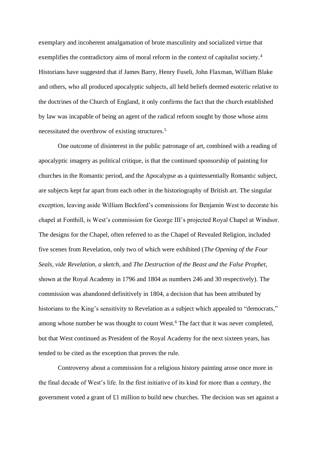exemplary and incoherent amalgamation of brute masculinity and socialized virtue that exemplifies the contradictory aims of moral reform in the context of capitalist society.<sup>4</sup> Historians have suggested that if James Barry, Henry Fuseli, John Flaxman, William Blake and others, who all produced apocalyptic subjects, all held beliefs deemed esoteric relative to the doctrines of the Church of England, it only confirms the fact that the church established by law was incapable of being an agent of the radical reform sought by those whose aims necessitated the overthrow of existing structures.<sup>5</sup>

One outcome of disinterest in the public patronage of art, combined with a reading of apocalyptic imagery as political critique, is that the continued sponsorship of painting for churches in the Romantic period, and the Apocalypse as a quintessentially Romantic subject, are subjects kept far apart from each other in the historiography of British art. The singular exception, leaving aside William Beckford's commissions for Benjamin West to decorate his chapel at Fonthill, is West's commission for George III's projected Royal Chapel at Windsor. The designs for the Chapel, often referred to as the Chapel of Revealed Religion, included five scenes from Revelation, only two of which were exhibited (*The Opening of the Four Seals, vide Revelation, a sketch*, and *The Destruction of the Beast and the False Prophet*, shown at the Royal Academy in 1796 and 1804 as numbers 246 and 30 respectively). The commission was abandoned definitively in 1804, a decision that has been attributed by historians to the King's sensitivity to Revelation as a subject which appealed to "democrats," among whose number he was thought to count West.<sup>6</sup> The fact that it was never completed, but that West continued as President of the Royal Academy for the next sixteen years, has tended to be cited as the exception that proves the rule.

Controversy about a commission for a religious history painting arose once more in the final decade of West's life. In the first initiative of its kind for more than a century, the government voted a grant of £1 million to build new churches. The decision was set against a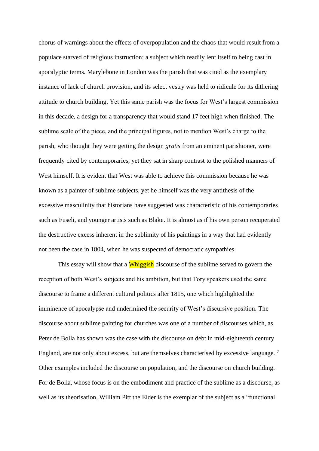chorus of warnings about the effects of overpopulation and the chaos that would result from a populace starved of religious instruction; a subject which readily lent itself to being cast in apocalyptic terms. Marylebone in London was the parish that was cited as the exemplary instance of lack of church provision, and its select vestry was held to ridicule for its dithering attitude to church building. Yet this same parish was the focus for West's largest commission in this decade, a design for a transparency that would stand 17 feet high when finished. The sublime scale of the piece, and the principal figures, not to mention West's charge to the parish, who thought they were getting the design *gratis* from an eminent parishioner, were frequently cited by contemporaries, yet they sat in sharp contrast to the polished manners of West himself. It is evident that West was able to achieve this commission because he was known as a painter of sublime subjects, yet he himself was the very antithesis of the excessive masculinity that historians have suggested was characteristic of his contemporaries such as Fuseli, and younger artists such as Blake. It is almost as if his own person recuperated the destructive excess inherent in the sublimity of his paintings in a way that had evidently not been the case in 1804, when he was suspected of democratic sympathies.

This essay will show that a **Whiggish** discourse of the sublime served to govern the reception of both West's subjects and his ambition, but that Tory speakers used the same discourse to frame a different cultural politics after 1815, one which highlighted the imminence of apocalypse and undermined the security of West's discursive position. The discourse about sublime painting for churches was one of a number of discourses which, as Peter de Bolla has shown was the case with the discourse on debt in mid-eighteenth century England, are not only about excess, but are themselves characterised by excessive language.<sup>7</sup> Other examples included the discourse on population, and the discourse on church building. For de Bolla, whose focus is on the embodiment and practice of the sublime as a discourse, as well as its theorisation, William Pitt the Elder is the exemplar of the subject as a "functional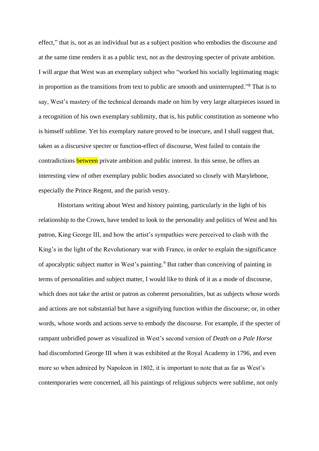effect," that is, not as an individual but as a subject position who embodies the discourse and at the same time renders it as a public text, not as the destroying specter of private ambition. I will argue that West was an exemplary subject who "worked his socially legitimating magic in proportion as the transitions from text to public are smooth and uninterrupted." <sup>8</sup> That is to say, West's mastery of the technical demands made on him by very large altarpieces issued in a recognition of his own exemplary sublimity, that is, his public constitution as someone who is himself sublime. Yet his exemplary nature proved to be insecure, and I shall suggest that, taken as a discursive specter or function-effect of discourse, West failed to contain the contradictions **between** private ambition and public interest. In this sense, he offers an interesting view of other exemplary public bodies associated so closely with Marylebone, especially the Prince Regent, and the parish vestry.

Historians writing about West and history painting, particularly in the light of his relationship to the Crown, have tended to look to the personality and politics of West and his patron, King George III, and how the artist's sympathies were perceived to clash with the King's in the light of the Revolutionary war with France, in order to explain the significance of apocalyptic subject matter in West's painting.<sup>9</sup> But rather than conceiving of painting in terms of personalities and subject matter, I would like to think of it as a mode of discourse, which does not take the artist or patron as coherent personalities, but as subjects whose words and actions are not substantial but have a signifying function within the discourse; or, in other words, whose words and actions serve to embody the discourse. For example, if the specter of rampant unbridled power as visualized in West's second version of *Death on a Pale Horse*  had discomforted George III when it was exhibited at the Royal Academy in 1796, and even more so when admired by Napoleon in 1802, it is important to note that as far as West's contemporaries were concerned, all his paintings of religious subjects were sublime, not only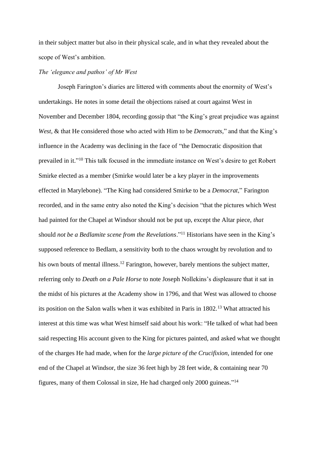in their subject matter but also in their physical scale, and in what they revealed about the scope of West's ambition.

## *The 'elegance and pathos' of Mr West*

Joseph Farington's diaries are littered with comments about the enormity of West's undertakings. He notes in some detail the objections raised at court against West in November and December 1804, recording gossip that "the King's great prejudice was against *West*, & that He considered those who acted with Him to be *Democrats*," and that the King's influence in the Academy was declining in the face of "the Democratic disposition that prevailed in it."<sup>10</sup> This talk focused in the immediate instance on West's desire to get Robert Smirke elected as a member (Smirke would later be a key player in the improvements effected in Marylebone). "The King had considered Smirke to be a *Democrat*," Farington recorded, and in the same entry also noted the King's decision "that the pictures which West had painted for the Chapel at Windsor should not be put up, except the Altar piece, *that* should *not be a Bedlamite scene from the Revelations*."<sup>11</sup> Historians have seen in the King's supposed reference to Bedlam, a sensitivity both to the chaos wrought by revolution and to his own bouts of mental illness.<sup>12</sup> Farington, however, barely mentions the subject matter, referring only to *Death on a Pale Horse* to note Joseph Nollekins's displeasure that it sat in the midst of his pictures at the Academy show in 1796, and that West was allowed to choose its position on the Salon walls when it was exhibited in Paris in 1802.<sup>13</sup> What attracted his interest at this time was what West himself said about his work: "He talked of what had been said respecting His account given to the King for pictures painted, and asked what we thought of the charges He had made, when for the *large picture of the Crucifixion*, intended for one end of the Chapel at Windsor, the size 36 feet high by 28 feet wide, & containing near 70 figures, many of them Colossal in size, He had charged only 2000 guineas." 14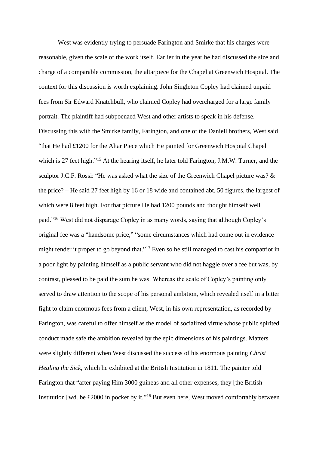West was evidently trying to persuade Farington and Smirke that his charges were reasonable, given the scale of the work itself. Earlier in the year he had discussed the size and charge of a comparable commission, the altarpiece for the Chapel at Greenwich Hospital. The context for this discussion is worth explaining. John Singleton Copley had claimed unpaid fees from Sir Edward Knatchbull, who claimed Copley had overcharged for a large family portrait. The plaintiff had subpoenaed West and other artists to speak in his defense. Discussing this with the Smirke family, Farington, and one of the Daniell brothers, West said "that He had £1200 for the Altar Piece which He painted for Greenwich Hospital Chapel which is 27 feet high."<sup>15</sup> At the hearing itself, he later told Farington, J.M.W. Turner, and the sculptor J.C.F. Rossi: "He was asked what the size of the Greenwich Chapel picture was? & the price? – He said 27 feet high by 16 or 18 wide and contained abt. 50 figures, the largest of which were 8 feet high. For that picture He had 1200 pounds and thought himself well paid." <sup>16</sup> West did not disparage Copley in as many words, saying that although Copley's original fee was a "handsome price," "some circumstances which had come out in evidence might render it proper to go beyond that."<sup>17</sup> Even so he still managed to cast his compatriot in a poor light by painting himself as a public servant who did not haggle over a fee but was, by contrast, pleased to be paid the sum he was. Whereas the scale of Copley's painting only served to draw attention to the scope of his personal ambition, which revealed itself in a bitter fight to claim enormous fees from a client, West, in his own representation, as recorded by Farington, was careful to offer himself as the model of socialized virtue whose public spirited conduct made safe the ambition revealed by the epic dimensions of his paintings. Matters were slightly different when West discussed the success of his enormous painting *Christ Healing the Sick*, which he exhibited at the British Institution in 1811. The painter told Farington that "after paying Him 3000 guineas and all other expenses, they [the British Institution] wd. be £2000 in pocket by it."<sup>18</sup> But even here, West moved comfortably between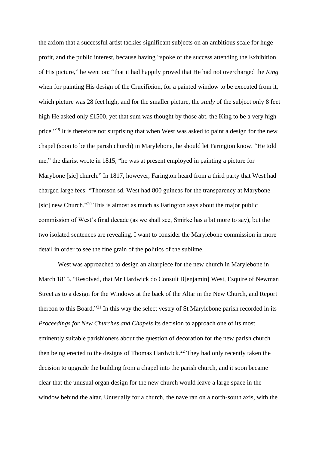the axiom that a successful artist tackles significant subjects on an ambitious scale for huge profit, and the public interest, because having "spoke of the success attending the Exhibition of His picture," he went on: "that it had happily proved that He had not overcharged the *King* when for painting His design of the Crucifixion, for a painted window to be executed from it, which picture was 28 feet high, and for the smaller picture, the *study* of the subject only 8 feet high He asked only £1500, yet that sum was thought by those abt. the King to be a very high price."<sup>19</sup> It is therefore not surprising that when West was asked to paint a design for the new chapel (soon to be the parish church) in Marylebone, he should let Farington know. "He told me," the diarist wrote in 1815, "he was at present employed in painting a picture for Marybone [sic] church." In 1817, however, Farington heard from a third party that West had charged large fees: "Thomson sd. West had 800 guineas for the transparency at Marybone [sic] new Church."<sup>20</sup> This is almost as much as Farington says about the major public commission of West's final decade (as we shall see, Smirke has a bit more to say), but the two isolated sentences are revealing. I want to consider the Marylebone commission in more detail in order to see the fine grain of the politics of the sublime.

West was approached to design an altarpiece for the new church in Marylebone in March 1815. "Resolved, that Mr Hardwick do Consult B[enjamin] West, Esquire of Newman Street as to a design for the Windows at the back of the Altar in the New Church, and Report thereon to this Board."<sup>21</sup> In this way the select vestry of St Marylebone parish recorded in its *Proceedings for New Churches and Chapels* its decision to approach one of its most eminently suitable parishioners about the question of decoration for the new parish church then being erected to the designs of Thomas Hardwick.<sup>22</sup> They had only recently taken the decision to upgrade the building from a chapel into the parish church, and it soon became clear that the unusual organ design for the new church would leave a large space in the window behind the altar. Unusually for a church, the nave ran on a north-south axis, with the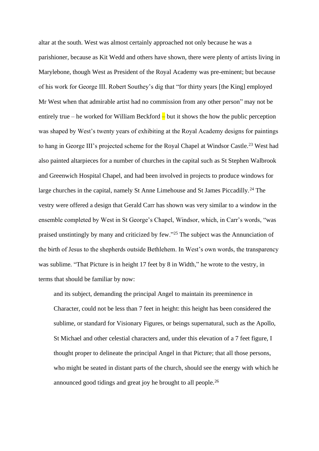altar at the south. West was almost certainly approached not only because he was a parishioner, because as Kit Wedd and others have shown, there were plenty of artists living in Marylebone, though West as President of the Royal Academy was pre-eminent; but because of his work for George III. Robert Southey's dig that "for thirty years [the King] employed Mr West when that admirable artist had no commission from any other person" may not be entirely true – he worked for William Beckford  $\frac{1}{x}$  but it shows the how the public perception was shaped by West's twenty years of exhibiting at the Royal Academy designs for paintings to hang in George III's projected scheme for the Royal Chapel at Windsor Castle.<sup>23</sup> West had also painted altarpieces for a number of churches in the capital such as St Stephen Walbrook and Greenwich Hospital Chapel, and had been involved in projects to produce windows for large churches in the capital, namely St Anne Limehouse and St James Piccadilly.<sup>24</sup> The vestry were offered a design that Gerald Carr has shown was very similar to a window in the ensemble completed by West in St George's Chapel, Windsor, which, in Carr's words, "was praised unstintingly by many and criticized by few."<sup>25</sup> The subject was the Annunciation of the birth of Jesus to the shepherds outside Bethlehem. In West's own words, the transparency was sublime. "That Picture is in height 17 feet by 8 in Width," he wrote to the vestry, in terms that should be familiar by now:

and its subject, demanding the principal Angel to maintain its preeminence in Character, could not be less than 7 feet in height: this height has been considered the sublime, or standard for Visionary Figures, or beings supernatural, such as the Apollo, St Michael and other celestial characters and, under this elevation of a 7 feet figure, I thought proper to delineate the principal Angel in that Picture; that all those persons, who might be seated in distant parts of the church, should see the energy with which he announced good tidings and great joy he brought to all people.<sup>26</sup>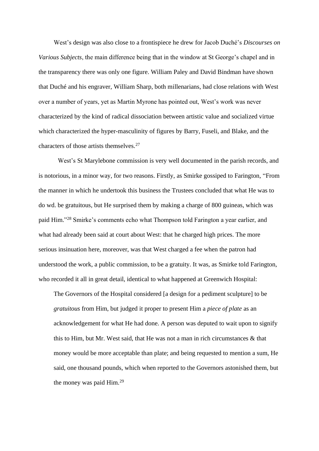West's design was also close to a frontispiece he drew for Jacob Duché's *Discourses on Various Subjects*, the main difference being that in the window at St George's chapel and in the transparency there was only one figure. William Paley and David Bindman have shown that Duché and his engraver, William Sharp, both millenarians, had close relations with West over a number of years, yet as Martin Myrone has pointed out, West's work was never characterized by the kind of radical dissociation between artistic value and socialized virtue which characterized the hyper-masculinity of figures by Barry, Fuseli, and Blake, and the characters of those artists themselves.<sup>27</sup>

West's St Marylebone commission is very well documented in the parish records, and is notorious, in a minor way, for two reasons. Firstly, as Smirke gossiped to Farington, "From the manner in which he undertook this business the Trustees concluded that what He was to do wd. be gratuitous, but He surprised them by making a charge of 800 guineas, which was paid Him." <sup>28</sup> Smirke's comments echo what Thompson told Farington a year earlier, and what had already been said at court about West: that he charged high prices. The more serious insinuation here, moreover, was that West charged a fee when the patron had understood the work, a public commission, to be a gratuity. It was, as Smirke told Farington, who recorded it all in great detail, identical to what happened at Greenwich Hospital:

The Governors of the Hospital considered [a design for a pediment sculpture] to be *gratuitous* from Him, but judged it proper to present Him a *piece of plate* as an acknowledgement for what He had done. A person was deputed to wait upon to signify this to Him, but Mr. West said, that He was not a man in rich circumstances  $\&$  that money would be more acceptable than plate; and being requested to mention a sum, He said, one thousand pounds, which when reported to the Governors astonished them, but the money was paid Him.29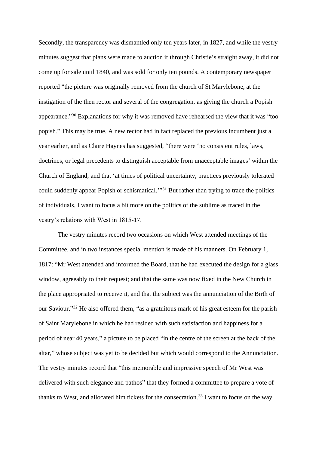Secondly, the transparency was dismantled only ten years later, in 1827, and while the vestry minutes suggest that plans were made to auction it through Christie's straight away, it did not come up for sale until 1840, and was sold for only ten pounds. A contemporary newspaper reported "the picture was originally removed from the church of St Marylebone, at the instigation of the then rector and several of the congregation, as giving the church a Popish appearance."<sup>30</sup> Explanations for why it was removed have rehearsed the view that it was "too popish." This may be true. A new rector had in fact replaced the previous incumbent just a year earlier, and as Claire Haynes has suggested, "there were 'no consistent rules, laws, doctrines, or legal precedents to distinguish acceptable from unacceptable images' within the Church of England, and that 'at times of political uncertainty, practices previously tolerated could suddenly appear Popish or schismatical.<sup>"31</sup> But rather than trying to trace the politics of individuals, I want to focus a bit more on the politics of the sublime as traced in the vestry's relations with West in 1815-17.

The vestry minutes record two occasions on which West attended meetings of the Committee, and in two instances special mention is made of his manners. On February 1, 1817: "Mr West attended and informed the Board, that he had executed the design for a glass window, agreeably to their request; and that the same was now fixed in the New Church in the place appropriated to receive it, and that the subject was the annunciation of the Birth of our Saviour."<sup>32</sup> He also offered them, "as a gratuitous mark of his great esteem for the parish of Saint Marylebone in which he had resided with such satisfaction and happiness for a period of near 40 years," a picture to be placed "in the centre of the screen at the back of the altar," whose subject was yet to be decided but which would correspond to the Annunciation. The vestry minutes record that "this memorable and impressive speech of Mr West was delivered with such elegance and pathos" that they formed a committee to prepare a vote of thanks to West, and allocated him tickets for the consecration.<sup>33</sup> I want to focus on the way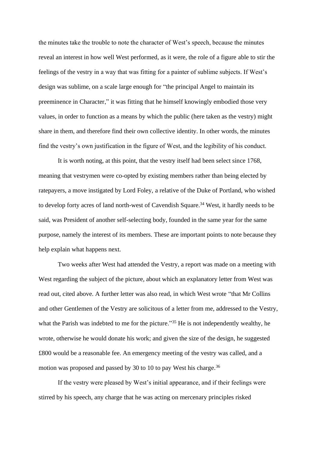the minutes take the trouble to note the character of West's speech, because the minutes reveal an interest in how well West performed, as it were, the role of a figure able to stir the feelings of the vestry in a way that was fitting for a painter of sublime subjects. If West's design was sublime, on a scale large enough for "the principal Angel to maintain its preeminence in Character," it was fitting that he himself knowingly embodied those very values, in order to function as a means by which the public (here taken as the vestry) might share in them, and therefore find their own collective identity. In other words, the minutes find the vestry's own justification in the figure of West, and the legibility of his conduct.

It is worth noting, at this point, that the vestry itself had been select since 1768, meaning that vestrymen were co-opted by existing members rather than being elected by ratepayers, a move instigated by Lord Foley, a relative of the Duke of Portland, who wished to develop forty acres of land north-west of Cavendish Square.<sup>34</sup> West, it hardly needs to be said, was President of another self-selecting body, founded in the same year for the same purpose, namely the interest of its members. These are important points to note because they help explain what happens next.

Two weeks after West had attended the Vestry, a report was made on a meeting with West regarding the subject of the picture, about which an explanatory letter from West was read out, cited above. A further letter was also read, in which West wrote "that Mr Collins and other Gentlemen of the Vestry are solicitous of a letter from me, addressed to the Vestry, what the Parish was indebted to me for the picture."<sup>35</sup> He is not independently wealthy, he wrote, otherwise he would donate his work; and given the size of the design, he suggested £800 would be a reasonable fee. An emergency meeting of the vestry was called, and a motion was proposed and passed by 30 to 10 to pay West his charge.<sup>36</sup>

If the vestry were pleased by West's initial appearance, and if their feelings were stirred by his speech, any charge that he was acting on mercenary principles risked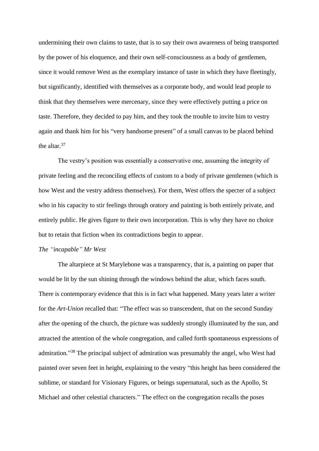undermining their own claims to taste, that is to say their own awareness of being transported by the power of his eloquence, and their own self-consciousness as a body of gentlemen, since it would remove West as the exemplary instance of taste in which they have fleetingly, but significantly, identified with themselves as a corporate body, and would lead people to think that they themselves were mercenary, since they were effectively putting a price on taste. Therefore, they decided to pay him, and they took the trouble to invite him to vestry again and thank him for his "very handsome present" of a small canvas to be placed behind the altar.<sup>37</sup>

The vestry's position was essentially a conservative one, assuming the integrity of private feeling and the reconciling effects of custom to a body of private gentlemen (which is how West and the vestry address themselves). For them, West offers the specter of a subject who in his capacity to stir feelings through oratory and painting is both entirely private, and entirely public. He gives figure to their own incorporation. This is why they have no choice but to retain that fiction when its contradictions begin to appear.

## *The "incapable" Mr West*

The altarpiece at St Marylebone was a transparency, that is, a painting on paper that would be lit by the sun shining through the windows behind the altar, which faces south. There is contemporary evidence that this is in fact what happened. Many years later a writer for the *Art-Union* recalled that: "The effect was so transcendent, that on the second Sunday after the opening of the church, the picture was suddenly strongly illuminated by the sun, and attracted the attention of the whole congregation, and called forth spontaneous expressions of admiration." <sup>38</sup> The principal subject of admiration was presumably the angel, who West had painted over seven feet in height, explaining to the vestry "this height has been considered the sublime, or standard for Visionary Figures, or beings supernatural, such as the Apollo, St Michael and other celestial characters." The effect on the congregation recalls the poses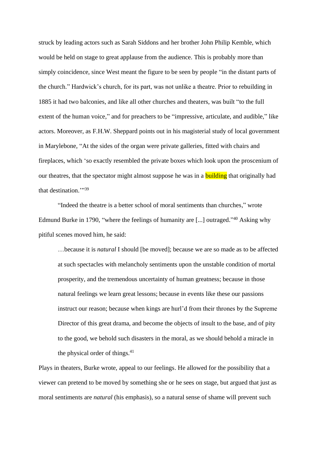struck by leading actors such as Sarah Siddons and her brother John Philip Kemble, which would be held on stage to great applause from the audience. This is probably more than simply coincidence, since West meant the figure to be seen by people "in the distant parts of the church." Hardwick's church, for its part, was not unlike a theatre. Prior to rebuilding in 1885 it had two balconies, and like all other churches and theaters, was built "to the full extent of the human voice," and for preachers to be "impressive, articulate, and audible," like actors. Moreover, as F.H.W. Sheppard points out in his magisterial study of local government in Marylebone, "At the sides of the organ were private galleries, fitted with chairs and fireplaces, which 'so exactly resembled the private boxes which look upon the proscenium of our theatres, that the spectator might almost suppose he was in a **building** that originally had that destination."<sup>39</sup>

"Indeed the theatre is a better school of moral sentiments than churches," wrote Edmund Burke in 1790, "where the feelings of humanity are [...] outraged."<sup>40</sup> Asking why pitiful scenes moved him, he said:

…because it is *natural* I should [be moved]; because we are so made as to be affected at such spectacles with melancholy sentiments upon the unstable condition of mortal prosperity, and the tremendous uncertainty of human greatness; because in those natural feelings we learn great lessons; because in events like these our passions instruct our reason; because when kings are hurl'd from their thrones by the Supreme Director of this great drama, and become the objects of insult to the base, and of pity to the good, we behold such disasters in the moral, as we should behold a miracle in the physical order of things.<sup>41</sup>

Plays in theaters, Burke wrote, appeal to our feelings. He allowed for the possibility that a viewer can pretend to be moved by something she or he sees on stage, but argued that just as moral sentiments are *natural* (his emphasis), so a natural sense of shame will prevent such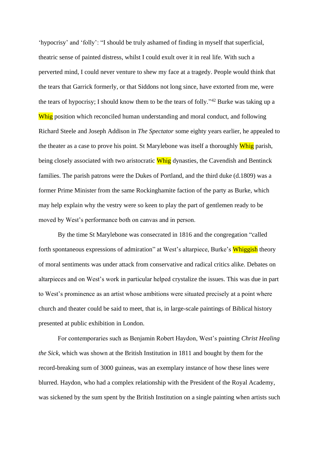'hypocrisy' and 'folly': "I should be truly ashamed of finding in myself that superficial, theatric sense of painted distress, whilst I could exult over it in real life. With such a perverted mind, I could never venture to shew my face at a tragedy. People would think that the tears that Garrick formerly, or that Siddons not long since, have extorted from me, were the tears of hypocrisy; I should know them to be the tears of folly."<sup>42</sup> Burke was taking up a Whig position which reconciled human understanding and moral conduct, and following Richard Steele and Joseph Addison in *The Spectator* some eighty years earlier, he appealed to the theater as a case to prove his point. St Marylebone was itself a thoroughly **Whig** parish, being closely associated with two aristocratic Whig dynasties, the Cavendish and Bentinck families. The parish patrons were the Dukes of Portland, and the third duke (d.1809) was a former Prime Minister from the same Rockinghamite faction of the party as Burke, which may help explain why the vestry were so keen to play the part of gentlemen ready to be moved by West's performance both on canvas and in person.

By the time St Marylebone was consecrated in 1816 and the congregation "called forth spontaneous expressions of admiration" at West's altarpiece, Burke's Whiggish theory of moral sentiments was under attack from conservative and radical critics alike. Debates on altarpieces and on West's work in particular helped crystalize the issues. This was due in part to West's prominence as an artist whose ambitions were situated precisely at a point where church and theater could be said to meet, that is, in large-scale paintings of Biblical history presented at public exhibition in London.

For contemporaries such as Benjamin Robert Haydon, West's painting *Christ Healing the Sick*, which was shown at the British Institution in 1811 and bought by them for the record-breaking sum of 3000 guineas, was an exemplary instance of how these lines were blurred. Haydon, who had a complex relationship with the President of the Royal Academy, was sickened by the sum spent by the British Institution on a single painting when artists such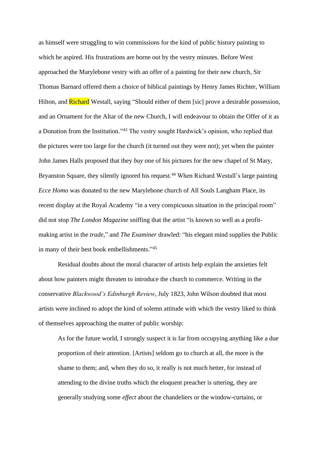as himself were struggling to win commissions for the kind of public history painting to which he aspired. His frustrations are borne out by the vestry minutes. Before West approached the Marylebone vestry with an offer of a painting for their new church, Sir Thomas Barnard offered them a choice of biblical paintings by Henry James Richter, William Hilton, and **Richard** Westall, saying "Should either of them [sic] prove a desirable possession, and an Ornament for the Altar of the new Church, I will endeavour to obtain the Offer of it as a Donation from the Institution."<sup>43</sup> The vestry sought Hardwick's opinion, who replied that the pictures were too large for the church (it turned out they were not); yet when the painter John James Halls proposed that they *buy* one of his pictures for the new chapel of St Mary, Bryanston Square, they silently ignored his request.<sup>44</sup> When Richard Westall's large painting *Ecce Homo* was donated to the new Marylebone church of All Souls Langham Place, its recent display at the Royal Academy "in a very conspicuous situation in the principal room" did not stop *The London Magazine* sniffing that the artist "is known so well as a profitmaking artist in the *trade*," and *The Examiner* drawled: "his elegant mind supplies the Public in many of their best book embellishments."<sup>45</sup>

Residual doubts about the moral character of artists help explain the anxieties felt about how painters might threaten to introduce the church to commerce. Writing in the conservative *Blackwood's Edinburgh Review*, July 1823, John Wilson doubted that most artists were inclined to adopt the kind of solemn attitude with which the vestry liked to think of themselves approaching the matter of public worship:

As for the future world, I strongly suspect it is far from occupying anything like a due proportion of their attention. [Artists] seldom go to church at all, the more is the shame to them; and, when they do so, it really is not much better, for instead of attending to the divine truths which the eloquent preacher is uttering, they are generally studying some *effect* about the chandeliers or the window-curtains, or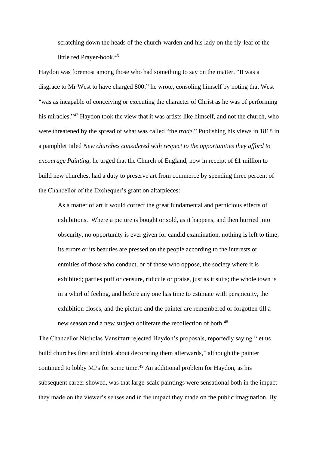scratching down the heads of the church-warden and his lady on the fly-leaf of the little red Prayer-book.<sup>46</sup>

Haydon was foremost among those who had something to say on the matter. "It was a disgrace to Mr West to have charged 800," he wrote, consoling himself by noting that West "was as incapable of conceiving or executing the character of Christ as he was of performing his miracles."<sup>47</sup> Haydon took the view that it was artists like himself, and not the church, who were threatened by the spread of what was called "the *trade*." Publishing his views in 1818 in a pamphlet titled *New churches considered with respect to the opportunities they afford to encourage Painting*, he urged that the Church of England, now in receipt of £1 million to build new churches, had a duty to preserve art from commerce by spending three percent of the Chancellor of the Exchequer's grant on altarpieces:

As a matter of art it would correct the great fundamental and pernicious effects of exhibitions. Where a picture is bought or sold, as it happens, and then hurried into obscurity, no opportunity is ever given for candid examination, nothing is left to time; its errors or its beauties are pressed on the people according to the interests or enmities of those who conduct, or of those who oppose, the society where it is exhibited; parties puff or censure, ridicule or praise, just as it suits; the whole town is in a whirl of feeling, and before any one has time to estimate with perspicuity, the exhibition closes, and the picture and the painter are remembered or forgotten till a new season and a new subject obliterate the recollection of both.<sup>48</sup>

The Chancellor Nicholas Vansittart rejected Haydon's proposals, reportedly saying "let us build churches first and think about decorating them afterwards," although the painter continued to lobby MPs for some time.<sup>49</sup> An additional problem for Haydon, as his subsequent career showed, was that large-scale paintings were sensational both in the impact they made on the viewer's senses and in the impact they made on the public imagination. By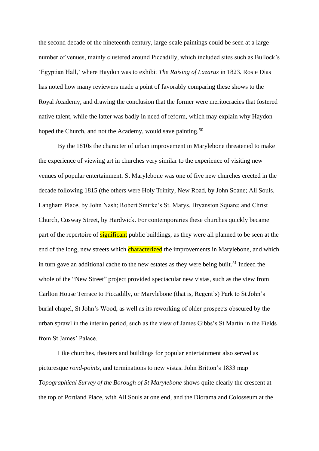the second decade of the nineteenth century, large-scale paintings could be seen at a large number of venues, mainly clustered around Piccadilly, which included sites such as Bullock's 'Egyptian Hall,' where Haydon was to exhibit *The Raising of Lazarus* in 1823. Rosie Dias has noted how many reviewers made a point of favorably comparing these shows to the Royal Academy, and drawing the conclusion that the former were meritocracies that fostered native talent, while the latter was badly in need of reform, which may explain why Haydon hoped the Church, and not the Academy, would save painting.<sup>50</sup>

By the 1810s the character of urban improvement in Marylebone threatened to make the experience of viewing art in churches very similar to the experience of visiting new venues of popular entertainment. St Marylebone was one of five new churches erected in the decade following 1815 (the others were Holy Trinity, New Road, by John Soane; All Souls, Langham Place, by John Nash; Robert Smirke's St. Marys, Bryanston Square; and Christ Church, Cosway Street, by Hardwick. For contemporaries these churches quickly became part of the repertoire of **significant** public buildings, as they were all planned to be seen at the end of the long, new streets which **characterized** the improvements in Marylebone, and which in turn gave an additional cache to the new estates as they were being built.<sup>51</sup> Indeed the whole of the "New Street" project provided spectacular new vistas, such as the view from Carlton House Terrace to Piccadilly, or Marylebone (that is, Regent's) Park to St John's burial chapel, St John's Wood, as well as its reworking of older prospects obscured by the urban sprawl in the interim period, such as the view of James Gibbs's St Martin in the Fields from St James' Palace.

Like churches, theaters and buildings for popular entertainment also served as picturesque *rond-points*, and terminations to new vistas. John Britton's 1833 map *Topographical Survey of the Borough of St Marylebone* shows quite clearly the crescent at the top of Portland Place, with All Souls at one end, and the Diorama and Colosseum at the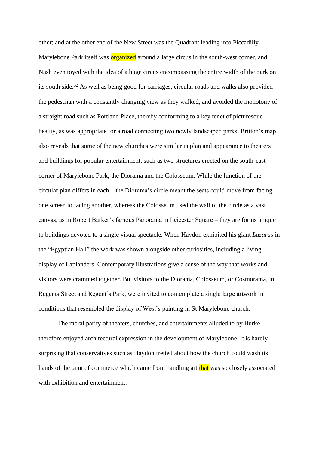other; and at the other end of the New Street was the Quadrant leading into Piccadilly. Marylebone Park itself was **organized** around a large circus in the south-west corner, and Nash even toyed with the idea of a huge circus encompassing the entire width of the park on its south side.<sup>52</sup> As well as being good for carriages, circular roads and walks also provided the pedestrian with a constantly changing view as they walked, and avoided the monotony of a straight road such as Portland Place, thereby conforming to a key tenet of picturesque beauty, as was appropriate for a road connecting two newly landscaped parks. Britton's map also reveals that some of the new churches were similar in plan and appearance to theaters and buildings for popular entertainment, such as two structures erected on the south-east corner of Marylebone Park, the Diorama and the Colosseum. While the function of the circular plan differs in each – the Diorama's circle meant the seats could move from facing one screen to facing another, whereas the Colosseum used the wall of the circle as a vast canvas, as in Robert Barker's famous Panorama in Leicester Square – they are forms unique to buildings devoted to a single visual spectacle. When Haydon exhibited his giant *Lazarus* in the "Egyptian Hall" the work was shown alongside other curiosities, including a living display of Laplanders. Contemporary illustrations give a sense of the way that works and visitors were crammed together. But visitors to the Diorama, Colosseum, or Cosmorama, in Regents Street and Regent's Park, were invited to contemplate a single large artwork in conditions that resembled the display of West's painting in St Marylebone church.

The moral parity of theaters, churches, and entertainments alluded to by Burke therefore enjoyed architectural expression in the development of Marylebone. It is hardly surprising that conservatives such as Haydon fretted about how the church could wash its hands of the taint of commerce which came from handling art that was so closely associated with exhibition and entertainment.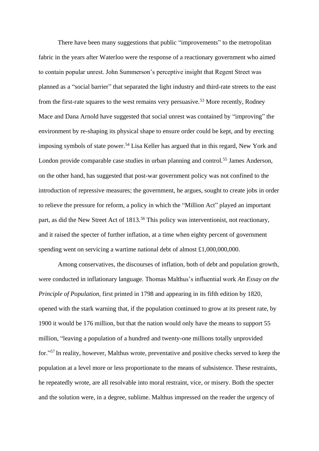There have been many suggestions that public "improvements" to the metropolitan fabric in the years after Waterloo were the response of a reactionary government who aimed to contain popular unrest. John Summerson's perceptive insight that Regent Street was planned as a "social barrier" that separated the light industry and third-rate streets to the east from the first-rate squares to the west remains very persuasive.<sup>53</sup> More recently, Rodney Mace and Dana Arnold have suggested that social unrest was contained by "improving" the environment by re-shaping its physical shape to ensure order could be kept, and by erecting imposing symbols of state power. <sup>54</sup> Lisa Keller has argued that in this regard, New York and London provide comparable case studies in urban planning and control.<sup>55</sup> James Anderson, on the other hand, has suggested that post-war government policy was not confined to the introduction of repressive measures; the government, he argues, sought to create jobs in order to relieve the pressure for reform, a policy in which the "Million Act" played an important part, as did the New Street Act of 1813.<sup>56</sup> This policy was interventionist, not reactionary, and it raised the specter of further inflation, at a time when eighty percent of government spending went on servicing a wartime national debt of almost £1,000,000,000.

Among conservatives, the discourses of inflation, both of debt and population growth, were conducted in inflationary language. Thomas Malthus's influential work *An Essay on the Principle of Population*, first printed in 1798 and appearing in its fifth edition by 1820, opened with the stark warning that, if the population continued to grow at its present rate, by 1900 it would be 176 million, but that the nation would only have the means to support 55 million, "leaving a population of a hundred and twenty-one millions totally unprovided for." <sup>57</sup> In reality, however, Malthus wrote, preventative and positive checks served to keep the population at a level more or less proportionate to the means of subsistence. These restraints, he repeatedly wrote, are all resolvable into moral restraint, vice, or misery. Both the specter and the solution were, in a degree, sublime. Malthus impressed on the reader the urgency of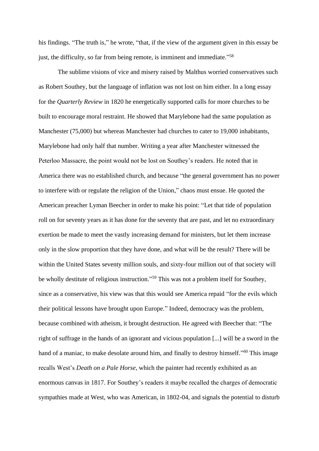his findings. "The truth is," he wrote, "that, if the view of the argument given in this essay be just, the difficulty, so far from being remote, is imminent and immediate."<sup>58</sup>

The sublime visions of vice and misery raised by Malthus worried conservatives such as Robert Southey, but the language of inflation was not lost on him either. In a long essay for the *Quarterly Review* in 1820 he energetically supported calls for more churches to be built to encourage moral restraint. He showed that Marylebone had the same population as Manchester (75,000) but whereas Manchester had churches to cater to 19,000 inhabitants, Marylebone had only half that number. Writing a year after Manchester witnessed the Peterloo Massacre, the point would not be lost on Southey's readers. He noted that in America there was no established church, and because "the general government has no power to interfere with or regulate the religion of the Union," chaos must ensue. He quoted the American preacher Lyman Beecher in order to make his point: "Let that tide of population roll on for seventy years as it has done for the seventy that are past, and let no extraordinary exertion be made to meet the vastly increasing demand for ministers, but let them increase only in the slow proportion that they have done, and what will be the result? There will be within the United States seventy million souls, and sixty-four million out of that society will be wholly destitute of religious instruction."<sup>59</sup> This was not a problem itself for Southey, since as a conservative, his view was that this would see America repaid "for the evils which their political lessons have brought upon Europe." Indeed, democracy was the problem, because combined with atheism, it brought destruction. He agreed with Beecher that: "The right of suffrage in the hands of an ignorant and vicious population [...] will be a sword in the hand of a maniac, to make desolate around him, and finally to destroy himself."<sup>60</sup> This image recalls West's *Death on a Pale Horse*, which the painter had recently exhibited as an enormous canvas in 1817. For Southey's readers it maybe recalled the charges of democratic sympathies made at West, who was American, in 1802-04, and signals the potential to disturb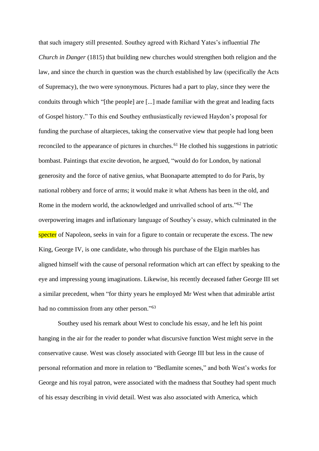that such imagery still presented. Southey agreed with Richard Yates's influential *The Church in Danger* (1815) that building new churches would strengthen both religion and the law, and since the church in question was the church established by law (specifically the Acts of Supremacy), the two were synonymous. Pictures had a part to play, since they were the conduits through which "[the people] are [...] made familiar with the great and leading facts of Gospel history." To this end Southey enthusiastically reviewed Haydon's proposal for funding the purchase of altarpieces, taking the conservative view that people had long been reconciled to the appearance of pictures in churches.<sup>61</sup> He clothed his suggestions in patriotic bombast. Paintings that excite devotion, he argued, "would do for London, by national generosity and the force of native genius, what Buonaparte attempted to do for Paris, by national robbery and force of arms; it would make it what Athens has been in the old, and Rome in the modern world, the acknowledged and unrivalled school of arts." <sup>62</sup> The overpowering images and inflationary language of Southey's essay, which culminated in the specter of Napoleon, seeks in vain for a figure to contain or recuperate the excess. The new King, George IV, is one candidate, who through his purchase of the Elgin marbles has aligned himself with the cause of personal reformation which art can effect by speaking to the eye and impressing young imaginations. Likewise, his recently deceased father George III set a similar precedent, when "for thirty years he employed Mr West when that admirable artist had no commission from any other person."<sup>63</sup>

Southey used his remark about West to conclude his essay, and he left his point hanging in the air for the reader to ponder what discursive function West might serve in the conservative cause. West was closely associated with George III but less in the cause of personal reformation and more in relation to "Bedlamite scenes," and both West's works for George and his royal patron, were associated with the madness that Southey had spent much of his essay describing in vivid detail. West was also associated with America, which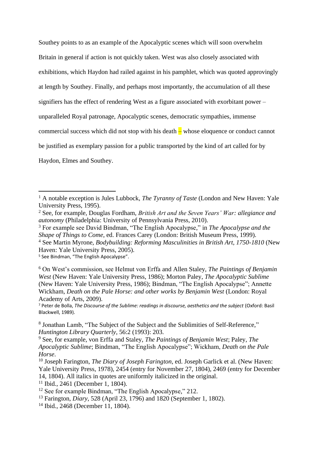Southey points to as an example of the Apocalyptic scenes which will soon overwhelm Britain in general if action is not quickly taken. West was also closely associated with exhibitions, which Haydon had railed against in his pamphlet, which was quoted approvingly at length by Southey. Finally, and perhaps most importantly, the accumulation of all these signifiers has the effect of rendering West as a figure associated with exorbitant power – unparalleled Royal patronage, Apocalyptic scenes, democratic sympathies, immense commercial success which did not stop with his death  $\frac{1}{x}$  whose eloquence or conduct cannot be justified as exemplary passion for a public transported by the kind of art called for by Haydon, Elmes and Southey.

<sup>4</sup> See Martin Myrone, *Bodybuilding: Reforming Masculinities in British Art, 1750-1810* (New Haven: Yale University Press, 2005).

<sup>7</sup> Peter de Bolla, *The Discourse of the Sublime: readings in discourse, aesthetics and the subject* (Oxford: Basil Blackwell, 1989).

<sup>&</sup>lt;sup>1</sup> A notable exception is Jules Lubbock, *The Tyranny of Taste* (London and New Haven: Yale University Press, 1995).

<sup>2</sup> See, for example, Douglas Fordham, *British Art and the Seven Years' War: allegiance and autonomy* (Philadelphia: University of Pennsylvania Press, 2010).

<sup>3</sup> For example see David Bindman, "The English Apocalypse," in *The Apocalypse and the Shape of Things to Come*, ed. Frances Carey (London: British Museum Press, 1999).

<sup>5</sup> See Bindman, "The English Apocalypse".

<sup>6</sup> On West's commission, see Helmut von Erffa and Allen Staley, *The Paintings of Benjamin West* (New Haven: Yale University Press, 1986); Morton Paley, *The Apocalyptic Sublime* (New Haven: Yale University Press, 1986); Bindman, "The English Apocalypse"; Annette Wickham, *Death on the Pale Horse: and other works by Benjamin West* (London: Royal Academy of Arts, 2009).

<sup>&</sup>lt;sup>8</sup> Jonathan Lamb, "The Subject of the Subject and the Sublimities of Self-Reference," *Huntington Library Quarterly*, 56:2 (1993): 203.

<sup>9</sup> See, for example, von Erffa and Staley, *The Paintings of Benjamin West*; Paley, *The Apocalyptic Sublime*; Bindman, "The English Apocalypse"; Wickham, *Death on the Pale Horse*.

<sup>10</sup> Joseph Farington, *The Diary of Joseph Farington*, ed. Joseph Garlick et al. (New Haven: Yale University Press, 1978), 2454 (entry for November 27, 1804), 2469 (entry for December 14, 1804). All italics in quotes are uniformly italicized in the original.

<sup>11</sup> Ibid., 2461 (December 1, 1804).

<sup>&</sup>lt;sup>12</sup> See for example Bindman, "The English Apocalypse," 212.

<sup>13</sup> Farington, *Diary*, 528 (April 23, 1796) and 1820 (September 1, 1802).

<sup>14</sup> Ibid., 2468 (December 11, 1804).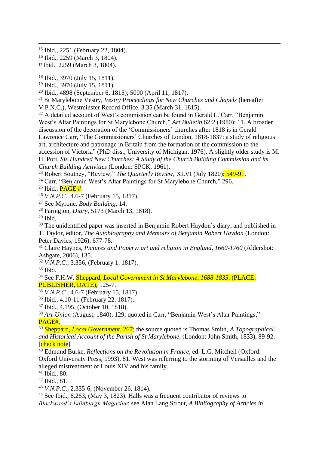<sup>15</sup> Ibid., 2251 (February 22, 1804).

- <sup>16</sup> Ibid., 2259 (March 3, 1804).
- <sup>17</sup> Ibid., 2259 (March 3, 1804).
- <sup>18</sup> Ibid., 3970 (July 15, 1811).
- <sup>19</sup> Ibid., 3970 (July 15, 1811).
- <sup>20</sup> Ibid., 4898 (September 6, 1815); 5000 (April 11, 1817).

<sup>21</sup> St Marylebone Vestry, *Vestry Proceedings for New Churches and Chapels* (hereafter

V.P.N.C.), Westminster Record Office, 3.35 (March 31, 1815).

<sup>22</sup> A detailed account of West's commission can be found in Gerald L. Carr, "Benjamin West's Altar Paintings for St Marylebone Church," *Art Bulletin* 62:2 (1980): 11. A broader discussion of the decoration of the 'Commissioners' churches after 1818 is in Gerald Lawrence Carr, "The Commissioners' Churches of London, 1818-1837: a study of religious art, architecture and patronage in Britain from the formation of the commission to the accession of Victoria" (PhD diss., University of Michigan, 1976). A slightly older study is M. H. Port, *Six Hundred New Churches: A Study of the Church Building Commission and its Church Building Activities* (London: SPCK, 1961).

<sup>23</sup> Robert Southey, "Review," *The Quarterly Review*, XLVI (July 1820): 549-91.

<sup>24</sup> Carr, "Benjamin West's Altar Paintings for St Marylebone Church," 296.

 $25$  Ibid., **PAGE #.** 

<sup>26</sup> *V.N.P.C.*, 4.6-7 (February 15, 1817).

- <sup>27</sup> See Myrone, *Body Building*, 14.
- <sup>28</sup> Farington, *Diary*, 5173 (March 13, 1818).

 $29$  Ibid.

<sup>30</sup> The unidentified paper was inserted in Benjamin Robert Haydon's diary, and published in

T. Taylor, editor, *The Autobiography and Memoirs of Benjamin Robert Haydon* (London: Peter Davies, 1926), 677-78.

<sup>31</sup> Claire Haynes, *Pictures and Popery: art and religion in England, 1660-1760* (Aldershot: Ashgate, 2006), 135.

<sup>32</sup> *V.N.P.C.*, 3.356, (February 1, 1817).

<sup>33</sup> Ibid.

## <sup>34</sup> See F.H.W. Sheppard, *Local Government in St Marylebone, 1688-1835,* (PLACE: PUBLISHER, DATE), 125-7.

<sup>35</sup> *V.N.P.C.*, 4.6-7 (February 15, 1817).

<sup>36</sup> Ibid., 4.10-11 (February 22, 1817).

<sup>37</sup> Ibid., 4.195. (October 10, 1818).

<sup>38</sup> *Art-Union* (August, 1840), 129; quoted in Carr, "Benjamin West's Altar Paintings," PAGE#.

<sup>39</sup> Sheppard, *Local Government*, 267; the source quoted is Thomas Smith, *A Topographical and Historical Account of the Parish of St Marylebone*, (London: John Smith, 1833), 89-92. [check note]

<sup>40</sup> Edmund Burke, *Reflections on the Revolution in France*, ed. L.G. Mitchell (Oxford: Oxford University Press, 1993), 81. West was referring to the storming of Versailles and the alleged mistreatment of Louis XIV and his family.

<sup>41</sup> Ibid., 80.

- <sup>42</sup> Ibid., 81.
- <sup>43</sup> *V.N.P.C.*, 2.335-6, (November 26, 1814).

<sup>44</sup> See Ibid., 6.263, (May 3, 1823). Halls was a frequent contributor of reviews to *Blackwood's Edinburgh Magazine*: see Alan Lang Strout, *A Bibliography of Articles in*